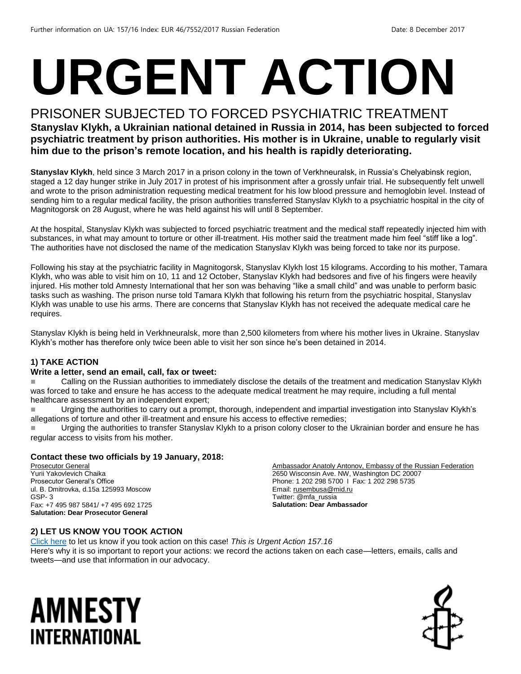# **URGENT ACTION**

### PRISONER SUBJECTED TO FORCED PSYCHIATRIC TREATMENT

#### **Stanyslav Klykh, a Ukrainian national detained in Russia in 2014, has been subjected to forced psychiatric treatment by prison authorities. His mother is in Ukraine, unable to regularly visit him due to the prison's remote location, and his health is rapidly deteriorating.**

**Stanyslav Klykh**, held since 3 March 2017 in a prison colony in the town of Verkhneuralsk, in Russia's Chelyabinsk region, staged a 12 day hunger strike in July 2017 in protest of his imprisonment after a grossly unfair trial. He subsequently felt unwell and wrote to the prison administration requesting medical treatment for his low blood pressure and hemoglobin level. Instead of sending him to a regular medical facility, the prison authorities transferred Stanyslav Klykh to a psychiatric hospital in the city of Magnitogorsk on 28 August, where he was held against his will until 8 September.

At the hospital, Stanyslav Klykh was subjected to forced psychiatric treatment and the medical staff repeatedly injected him with substances, in what may amount to torture or other ill-treatment. His mother said the treatment made him feel "stiff like a log". The authorities have not disclosed the name of the medication Stanyslav Klykh was being forced to take nor its purpose.

Following his stay at the psychiatric facility in Magnitogorsk, Stanyslav Klykh lost 15 kilograms. According to his mother, Tamara Klykh, who was able to visit him on 10, 11 and 12 October, Stanyslav Klykh had bedsores and five of his fingers were heavily injured. His mother told Amnesty International that her son was behaving "like a small child" and was unable to perform basic tasks such as washing. The prison nurse told Tamara Klykh that following his return from the psychiatric hospital, Stanyslav Klykh was unable to use his arms. There are concerns that Stanyslav Klykh has not received the adequate medical care he requires.

Stanyslav Klykh is being held in Verkhneuralsk, more than 2,500 kilometers from where his mother lives in Ukraine. Stanyslav Klykh's mother has therefore only twice been able to visit her son since he's been detained in 2014.

#### **1) TAKE ACTION**

#### **Write a letter, send an email, call, fax or tweet:**

 Calling on the Russian authorities to immediately disclose the details of the treatment and medication Stanyslav Klykh was forced to take and ensure he has access to the adequate medical treatment he may require, including a full mental healthcare assessment by an independent expert;

Urging the authorities to carry out a prompt, thorough, independent and impartial investigation into Stanyslav Klykh's allegations of torture and other ill-treatment and ensure his access to effective remedies;

■ Urging the authorities to transfer Stanyslav Klykh to a prison colony closer to the Ukrainian border and ensure he has regular access to visits from his mother.

#### **Contact these two officials by 19 January, 2018:**

Prosecutor General Yurii Yakovlevich Chaika Prosecutor General's Office ul. B. Dmitrovka, d.15a 125993 Moscow GSP- 3 Fax: +7 495 987 5841/ +7 495 692 1725 **Salutation: Dear Prosecutor General**

Ambassador Anatoly Antonov, Embassy of the Russian Federation 2650 Wisconsin Ave. NW, Washington DC 20007 Phone: 1 202 298 5700 I Fax: 1 202 298 5735 Email[: rusembusa@mid.ru](mailto:rusembusa@mid.ru) Twitter: @mfa\_russia **Salutation: Dear Ambassador**

#### **2) LET US KNOW YOU TOOK ACTION**

[Click here](https://docs.google.com/forms/d/e/1FAIpQLSf3RUspces4lA9Gt7Fp9GiAcojCs6fnfFOTCLli3Su6c3S8ew/viewform) to let us know if you took action on this case! *This is Urgent Action 157.16* Here's why it is so important to report your actions: we record the actions taken on each case—letters, emails, calls and tweets—and use that information in our advocacy.